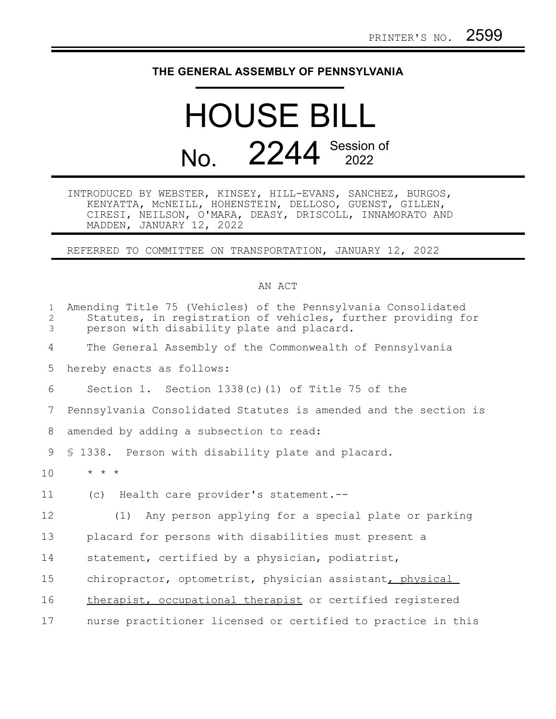## **THE GENERAL ASSEMBLY OF PENNSYLVANIA**

## HOUSE BILL No. 2244 Session of

INTRODUCED BY WEBSTER, KINSEY, HILL-EVANS, SANCHEZ, BURGOS, KENYATTA, McNEILL, HOHENSTEIN, DELLOSO, GUENST, GILLEN, CIRESI, NEILSON, O'MARA, DEASY, DRISCOLL, INNAMORATO AND MADDEN, JANUARY 12, 2022

REFERRED TO COMMITTEE ON TRANSPORTATION, JANUARY 12, 2022

## AN ACT

| $\mathbf{1}$<br>$\overline{2}$<br>$\mathfrak{Z}$ | Amending Title 75 (Vehicles) of the Pennsylvania Consolidated<br>Statutes, in registration of vehicles, further providing for<br>person with disability plate and placard. |
|--------------------------------------------------|----------------------------------------------------------------------------------------------------------------------------------------------------------------------------|
| 4                                                | The General Assembly of the Commonwealth of Pennsylvania                                                                                                                   |
| 5                                                | hereby enacts as follows:                                                                                                                                                  |
| 6                                                | Section 1. Section $1338(c)$ (1) of Title 75 of the                                                                                                                        |
| 7                                                | Pennsylvania Consolidated Statutes is amended and the section is                                                                                                           |
| 8                                                | amended by adding a subsection to read:                                                                                                                                    |
| 9                                                | § 1338. Person with disability plate and placard.                                                                                                                          |
| 10                                               | $\star$ $\star$ $\star$                                                                                                                                                    |
| 11                                               | (c) Health care provider's statement.--                                                                                                                                    |
| 12                                               | (1) Any person applying for a special plate or parking                                                                                                                     |
| 13                                               | placard for persons with disabilities must present a                                                                                                                       |
| 14                                               | statement, certified by a physician, podiatrist,                                                                                                                           |
| 15                                               | chiropractor, optometrist, physician assistant, physical                                                                                                                   |
| 16                                               | therapist, occupational therapist or certified registered                                                                                                                  |
| 17                                               | nurse practitioner licensed or certified to practice in this                                                                                                               |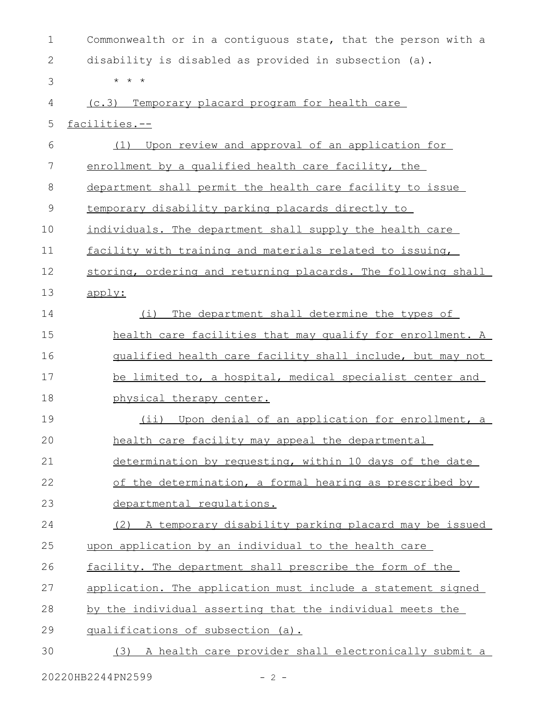| $\mathbf 1$  | Commonwealth or in a contiguous state, that the person with a |
|--------------|---------------------------------------------------------------|
| $\mathbf{2}$ | disability is disabled as provided in subsection (a).         |
| 3            | $\star$ $\star$ $\star$                                       |
| 4            | (c.3) Temporary placard program for health care               |
| 5            | facilities.--                                                 |
| 6            | Upon review and approval of an application for<br>(1)         |
| 7            | enrollment by a qualified health care facility, the           |
| 8            | department shall permit the health care facility to issue     |
| 9            | temporary disability parking placards directly to             |
| 10           | individuals. The department shall supply the health care      |
| 11           | facility with training and materials related to issuing,      |
| 12           | storing, ordering and returning placards. The following shall |
| 13           | apply:                                                        |
| 14           | The department shall determine the types of<br>(i)            |
| 15           | health care facilities that may qualify for enrollment. A     |
| 16           | qualified health care facility shall include, but may not     |
| 17           | be limited to, a hospital, medical specialist center and      |
| 18           | physical therapy center.                                      |
| 19           | (ii) Upon denial of an application for enrollment, a          |
| 20           | health care facility may appeal the departmental              |
| 21           | determination by requesting, within 10 days of the date       |
| 22           | of the determination, a formal hearing as prescribed by       |
| 23           | departmental requlations.                                     |
| 24           | (2) A temporary disability parking placard may be issued      |
| 25           | upon application by an individual to the health care          |
| 26           | facility. The department shall prescribe the form of the      |
| 27           | application. The application must include a statement signed  |
| 28           | by the individual asserting that the individual meets the     |
| 29           | qualifications of subsection (a).                             |
| 30           | (3) A health care provider shall electronically submit a      |
|              | 20220HB2244PN2599<br>$-2 -$                                   |